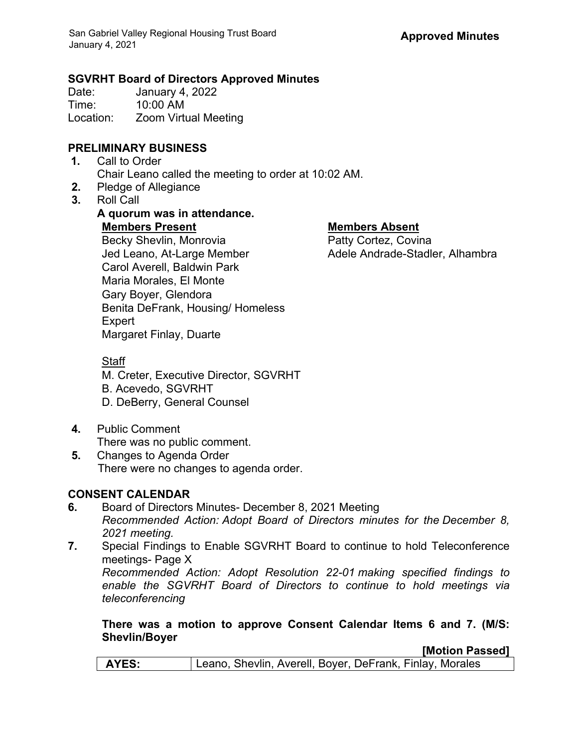# **SGVRHT Board of Directors Approved Minutes**

January 4, 2022 Time: 10:00 AM Location: Zoom Virtual Meeting

## **PRELIMINARY BUSINESS**

- **1.** Call to Order Chair Leano called the meeting to order at 10:02 AM.
- **2.** Pledge of Allegiance
- **3.** Roll Call

### **A quorum was in attendance. Members Present Members Absent** Becky Shevlin, Monrovia Jed Leano, At-Large Member Adele Andrade-Stadler, Alhambra Carol Averell, Baldwin Park Maria Morales, El Monte Gary Boyer, Glendora Benita DeFrank, Housing/ Homeless Expert Margaret Finlay, Duarte

Staff

M. Creter, Executive Director, SGVRHT

- B. Acevedo, SGVRHT
- D. DeBerry, General Counsel
- **4.** Public Comment There was no public comment.
- **5.** Changes to Agenda Order There were no changes to agenda order.

# **CONSENT CALENDAR**

- **6.** Board of Directors Minutes- December 8, 2021 Meeting *Recommended Action: Adopt Board of Directors minutes for the December 8, 2021 meeting.*
- **7.** Special Findings to Enable SGVRHT Board to continue to hold Teleconference meetings- Page X

*Recommended Action: Adopt Resolution 22-01 making specified findings to enable the SGVRHT Board of Directors to continue to hold meetings via teleconferencing*

#### **There was a motion to approve Consent Calendar Items 6 and 7. (M/S: Shevlin/Boyer**

**[Motion Passed]**

| <b>AYES:</b> | Leano, Shevlin, Averell, Boyer, DeFrank, Finlay, Morales |  |
|--------------|----------------------------------------------------------|--|
|              |                                                          |  |